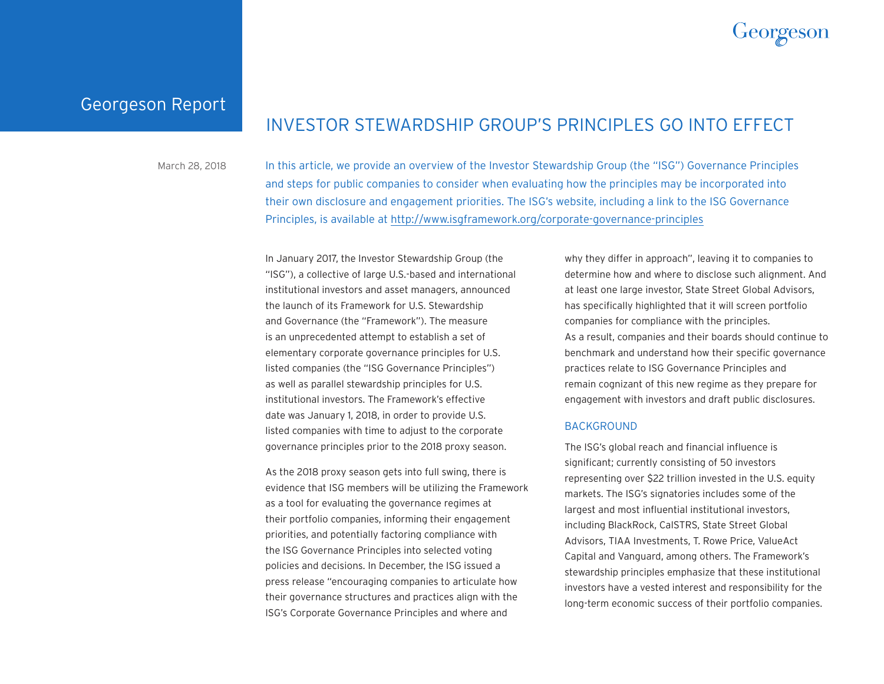

Georgeson Report

# INVESTOR STEWARDSHIP GROUP'S PRINCIPLES GO INTO EFFECT

March 28, 2018 In this article, we provide an overview of the Investor Stewardship Group (the "ISG") Governance Principles and steps for public companies to consider when evaluating how the principles may be incorporated into their own disclosure and engagement priorities. The ISG's website, including a link to the ISG Governance Principles, is available at [http://www.isgframework.org/corporate-governance-principles](http://www.isgframework.org/corporate-governance-principles/)

> In January 2017, the Investor Stewardship Group (the "ISG"), a collective of large U.S.-based and international institutional investors and asset managers, announced the launch of its Framework for U.S. Stewardship and Governance (the "Framework"). The measure is an unprecedented attempt to establish a set of elementary corporate governance principles for U.S. listed companies (the "ISG Governance Principles") as well as parallel stewardship principles for U.S. institutional investors. The Framework's effective date was January 1, 2018, in order to provide U.S. listed companies with time to adjust to the corporate governance principles prior to the 2018 proxy season.

As the 2018 proxy season gets into full swing, there is evidence that ISG members will be utilizing the Framework as a tool for evaluating the governance regimes at their portfolio companies, informing their engagement priorities, and potentially factoring compliance with the ISG Governance Principles into selected voting policies and decisions. In December, the ISG issued a press release "encouraging companies to articulate how their governance structures and practices align with the ISG's Corporate Governance Principles and where and

why they differ in approach", leaving it to companies to determine how and where to disclose such alignment. And at least one large investor, State Street Global Advisors, has specifically highlighted that it will screen portfolio companies for compliance with the principles. As a result, companies and their boards should continue to benchmark and understand how their specific governance practices relate to ISG Governance Principles and remain cognizant of this new regime as they prepare for engagement with investors and draft public disclosures.

#### BACKGROUND

The ISG's global reach and financial influence is significant; currently consisting of 50 investors representing over \$22 trillion invested in the U.S. equity markets. The ISG's signatories includes some of the largest and most influential institutional investors, including BlackRock, CalSTRS, State Street Global Advisors, TIAA Investments, T. Rowe Price, ValueAct Capital and Vanguard, among others. The Framework's stewardship principles emphasize that these institutional investors have a vested interest and responsibility for the long-term economic success of their portfolio companies.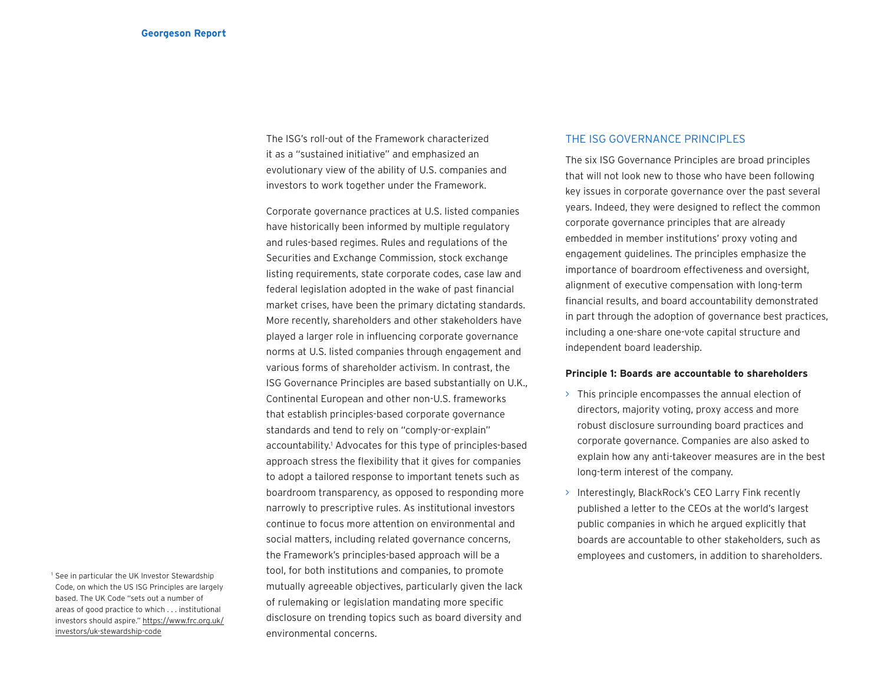The ISG's roll-out of the Framework characterized it as a "sustained initiative" and emphasized an evolutionary view of the ability of U.S. companies and investors to work together under the Framework.

Corporate governance practices at U.S. listed companies have historically been informed by multiple regulatory and rules-based regimes. Rules and regulations of the Securities and Exchange Commission, stock exchange listing requirements, state corporate codes, case law and federal legislation adopted in the wake of past financial market crises, have been the primary dictating standards. More recently, shareholders and other stakeholders have played a larger role in influencing corporate governance norms at U.S. listed companies through engagement and various forms of shareholder activism. In contrast, the ISG Governance Principles are based substantially on U.K., Continental European and other non-U.S. frameworks that establish principles-based corporate governance standards and tend to rely on "comply-or-explain" accountability.<sup>1</sup> Advocates for this type of principles-based approach stress the flexibility that it gives for companies to adopt a tailored response to important tenets such as boardroom transparency, as opposed to responding more narrowly to prescriptive rules. As institutional investors continue to focus more attention on environmental and social matters, including related governance concerns, the Framework's principles-based approach will be a tool, for both institutions and companies, to promote mutually agreeable objectives, particularly given the lack of rulemaking or legislation mandating more specific disclosure on trending topics such as board diversity and environmental concerns.

## THE ISG GOVERNANCE PRINCIPLES

The six ISG Governance Principles are broad principles that will not look new to those who have been following key issues in corporate governance over the past several years. Indeed, they were designed to reflect the common corporate governance principles that are already embedded in member institutions' proxy voting and engagement guidelines. The principles emphasize the importance of boardroom effectiveness and oversight, alignment of executive compensation with long-term financial results, and board accountability demonstrated in part through the adoption of governance best practices, including a one-share one-vote capital structure and independent board leadership.

## **Principle 1: Boards are accountable to shareholders**

- > This principle encompasses the annual election of directors, majority voting, proxy access and more robust disclosure surrounding board practices and corporate governance. Companies are also asked to explain how any anti-takeover measures are in the best long-term interest of the company.
- > Interestingly, BlackRock's CEO Larry Fink recently published a letter to the CEOs at the world's largest public companies in which he argued explicitly that boards are accountable to other stakeholders, such as employees and customers, in addition to shareholders.

<sup>&</sup>lt;sup>1</sup> See in particular the UK Investor Stewardship Code, on which the US ISG Principles are largely based. The UK Code "sets out a number of areas of good practice to which . . . institutional investors should aspire." [https://www.frc.org.uk/](https://www.frc.org.uk/investors/uk-stewardship-code) [investors/uk-stewardship-code](https://www.frc.org.uk/investors/uk-stewardship-code)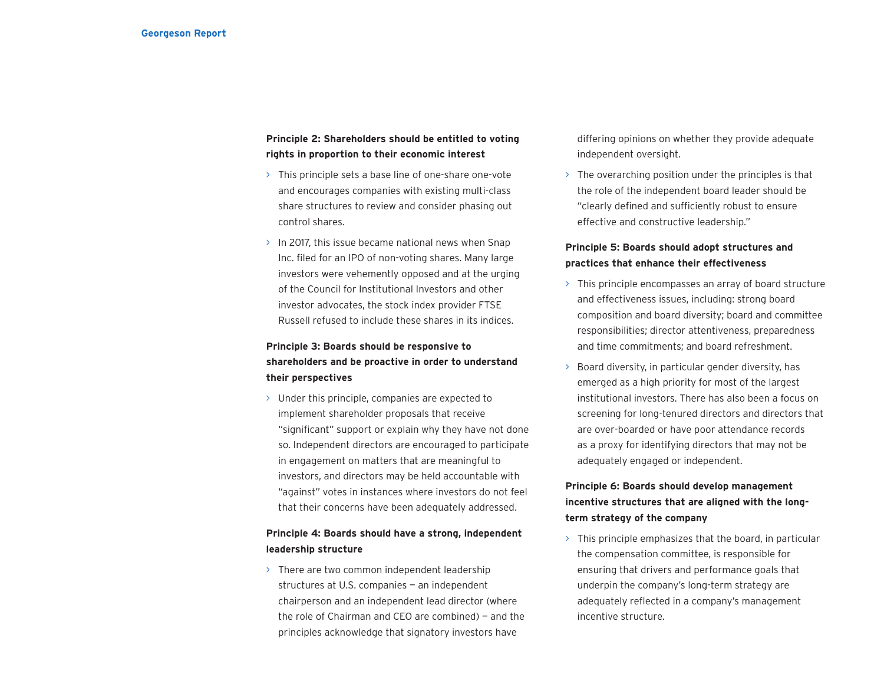## **Principle 2: Shareholders should be entitled to voting rights in proportion to their economic interest**

- > This principle sets a base line of one-share one-vote and encourages companies with existing multi-class share structures to review and consider phasing out control shares.
- > In 2017, this issue became national news when Snap Inc. filed for an IPO of non-voting shares. Many large investors were vehemently opposed and at the urging of the Council for Institutional Investors and other investor advocates, the stock index provider FTSE Russell refused to include these shares in its indices.

# **Principle 3: Boards should be responsive to shareholders and be proactive in order to understand their perspectives**

> Under this principle, companies are expected to implement shareholder proposals that receive "significant" support or explain why they have not done so. Independent directors are encouraged to participate in engagement on matters that are meaningful to investors, and directors may be held accountable with "against" votes in instances where investors do not feel that their concerns have been adequately addressed.

## **Principle 4: Boards should have a strong, independent leadership structure**

> There are two common independent leadership structures at U.S. companies — an independent chairperson and an independent lead director (where the role of Chairman and CEO are combined) — and the principles acknowledge that signatory investors have

differing opinions on whether they provide adequate independent oversight.

 $\rightarrow$  The overarching position under the principles is that the role of the independent board leader should be "clearly defined and sufficiently robust to ensure effective and constructive leadership."

## **Principle 5: Boards should adopt structures and practices that enhance their effectiveness**

- > This principle encompasses an array of board structure and effectiveness issues, including: strong board composition and board diversity; board and committee responsibilities; director attentiveness, preparedness and time commitments; and board refreshment.
- > Board diversity, in particular gender diversity, has emerged as a high priority for most of the largest institutional investors. There has also been a focus on screening for long-tenured directors and directors that are over-boarded or have poor attendance records as a proxy for identifying directors that may not be adequately engaged or independent.

# **Principle 6: Boards should develop management incentive structures that are aligned with the longterm strategy of the company**

 $\rightarrow$  This principle emphasizes that the board, in particular the compensation committee, is responsible for ensuring that drivers and performance goals that underpin the company's long-term strategy are adequately reflected in a company's management incentive structure.